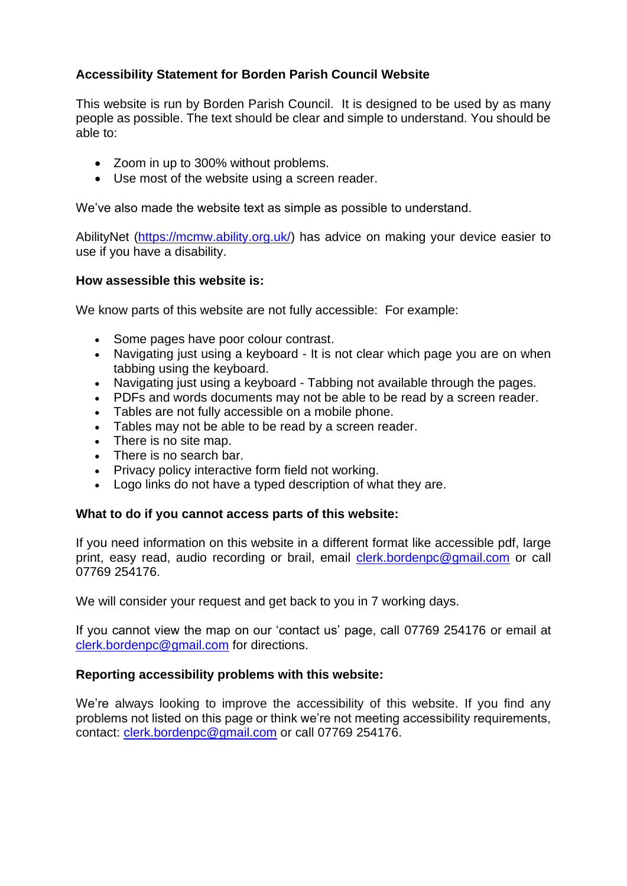## **Accessibility Statement for Borden Parish Council Website**

This website is run by Borden Parish Council. It is designed to be used by as many people as possible. The text should be clear and simple to understand. You should be able to:

- Zoom in up to 300% without problems.
- Use most of the website using a screen reader.

We've also made the website text as simple as possible to understand.

AbilityNet [\(https://mcmw.ability.org.uk/\)](https://mcmw.ability.org.uk/) has advice on making your device easier to use if you have a disability.

## **How assessible this website is:**

We know parts of this website are not fully accessible: For example:

- Some pages have poor colour contrast.
- Navigating just using a keyboard It is not clear which page you are on when tabbing using the keyboard.
- Navigating just using a keyboard Tabbing not available through the pages.
- PDFs and words documents may not be able to be read by a screen reader.
- Tables are not fully accessible on a mobile phone.
- Tables may not be able to be read by a screen reader.
- There is no site map.
- There is no search bar.
- Privacy policy interactive form field not working.
- Logo links do not have a typed description of what they are.

#### **What to do if you cannot access parts of this website:**

If you need information on this website in a different format like accessible pdf, large print, easy read, audio recording or brail, email [clerk.bordenpc@gmail.com](mailto:clerk@kingshillparish.gov.uk) or call 07769 254176.

We will consider your request and get back to you in 7 working days.

If you cannot view the map on our 'contact us' page, call 07769 254176 or email at [clerk.bordenpc@gmail.com](mailto:clerk@kingshillparish.gov.uk) for directions.

## **Reporting accessibility problems with this website:**

We're always looking to improve the accessibility of this website. If you find any problems not listed on this page or think we're not meeting accessibility requirements, contact: [clerk.bordenpc@gmail.com](mailto:clerk@kingshillparish.gov.uk) or call 07769 254176.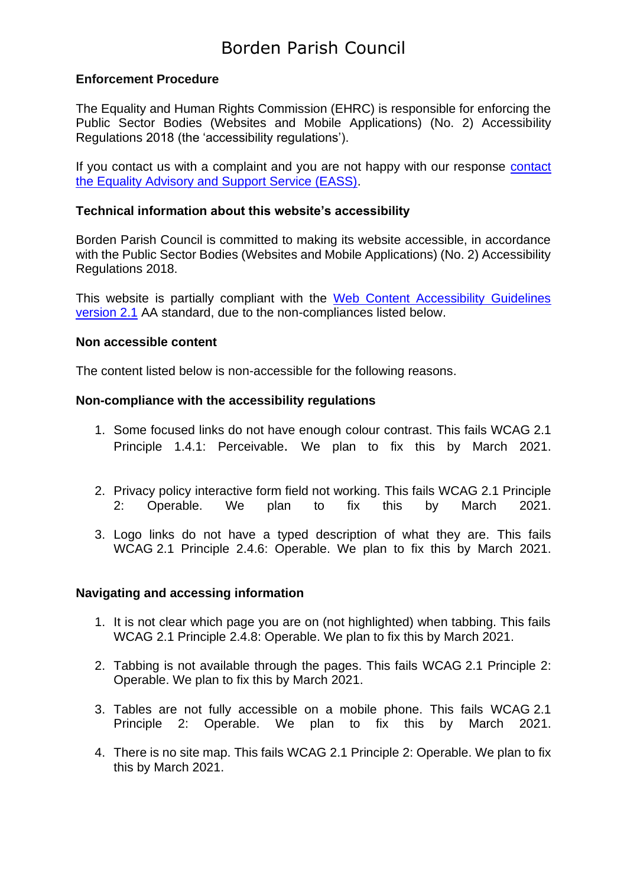# Borden Parish Council

## **Enforcement Procedure**

The Equality and Human Rights Commission (EHRC) is responsible for enforcing the Public Sector Bodies (Websites and Mobile Applications) (No. 2) Accessibility Regulations 2018 (the 'accessibility regulations').

If you contact us with a complaint and you are not happy with our response [contact](https://www.equalityadvisoryservice.com/)  [the Equality Advisory and Support Service \(EASS\).](https://www.equalityadvisoryservice.com/)

### **Technical information about this website's accessibility**

Borden Parish Council is committed to making its website accessible, in accordance with the Public Sector Bodies (Websites and Mobile Applications) (No. 2) Accessibility Regulations 2018.

This website is partially compliant with the [Web Content Accessibility Guidelines](https://www.w3.org/TR/WCAG21/)  [version 2.1](https://www.w3.org/TR/WCAG21/) AA standard, due to the non-compliances listed below.

#### **Non accessible content**

The content listed below is non-accessible for the following reasons.

#### **Non-compliance with the accessibility regulations**

- 1. Some focused links do not have enough colour contrast. This fails [WCAG](https://www.w3.org/TR/WCAG21/#perceivable) 2.1 Principle 1.4.1: [Perceivable](https://www.w3.org/TR/WCAG21/#perceivable). We plan to fix this by March 2021.
- 2. Privacy policy interactive form field not working. This fails WCAG 2.1 [Principle](https://www.w3.org/TR/WCAG21/#operable) 2: [Operable.](https://www.w3.org/TR/WCAG21/#operable) We plan to fix this by March 2021.
- 3. Logo links do not have a typed description of what they are. This fails WCAG 2.1 Principle 2.4.6: [Operable.](https://www.w3.org/TR/WCAG21/#operable) We plan to fix this by March 2021.

## **Navigating and accessing information**

- 1. It is not clear which page you are on (not highlighted) when tabbing. This fails WCAG 2.1 Principle 2.4.8: [Operable.](https://www.w3.org/TR/WCAG21/#operable) We plan to fix this by March 2021.
- 2. Tabbing is not available through the pages. This fails WCAG 2.1 [Principle](https://www.w3.org/TR/WCAG21/#operable) 2: [Operable.](https://www.w3.org/TR/WCAG21/#operable) We plan to fix this by March 2021.
- 3. Tables are not fully accessible on a mobile phone. This fails [WCAG](https://www.w3.org/TR/WCAG21/#operable) 2.1 Principle 2: [Operable.](https://www.w3.org/TR/WCAG21/#operable) We plan to fix this by March 2021.
- 4. There is no site map. This fails WCAG 2.1 Principle 2: [Operable.](https://www.w3.org/TR/WCAG21/#operable) We plan to fix this by March 2021.